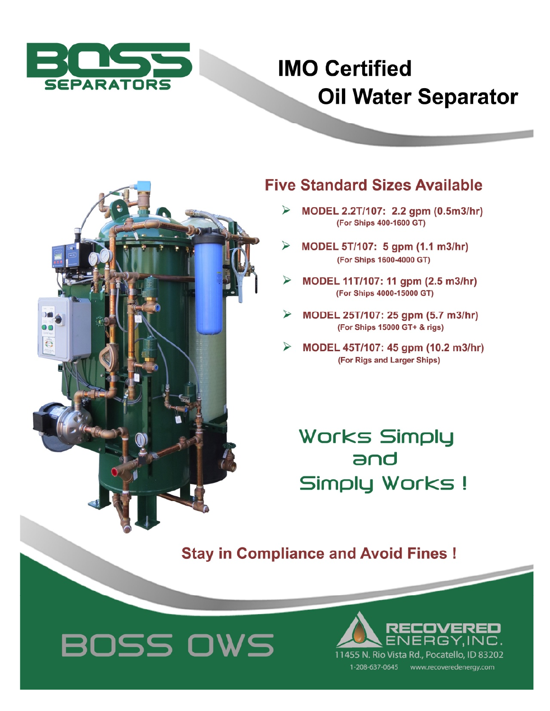

## **IMO Certified Oil Water Separator**



## **Five Standard Sizes Available**

- ⋗ MODEL 2.2T/107: 2.2 gpm (0.5m3/hr) (For Ships 400-1600 GT)
- MODEL 5T/107: 5 gpm (1.1 m3/hr) (For Ships 1600-4000 GT)
- MODEL 11T/107: 11 gpm (2.5 m3/hr) (For Ships 4000-15000 GT)
- MODEL 25T/107: 25 gpm (5.7 m3/hr) ⋗ (For Ships 15000 GT+ & rigs)
- MODEL 45T/107: 45 gpm (10.2 m3/hr) (For Rigs and Larger Ships)

**Works Simply** and Simply Works!

**Stay in Compliance and Avoid Fines!**